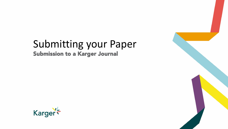# Submitting your Paper Submission to a Karger Journal



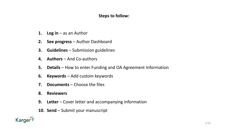## **Steps to follow:**

- 1. Log in as an Author
- **2. See progress** Author Dashboard
- **3. Guidelines**  Submission guidelines
- **4. Authors**  And Co-authors
- **5. Details**  How to enter Funding and OA Agreement Information
- **6. Keywords** Add custom keywords
- **7. Documents**  Choose the files
- **8. Reviewers**
- **9. Letter**  Cover letter and accompanying information
- **10. Send**  Submit your manuscript

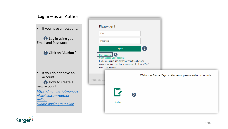| Log in $-$ as an Author                                                                                                                                                  |                                                                                                                                                                                                                                               |
|--------------------------------------------------------------------------------------------------------------------------------------------------------------------------|-----------------------------------------------------------------------------------------------------------------------------------------------------------------------------------------------------------------------------------------------|
| If you have an account:                                                                                                                                                  | Please sign in<br>Email                                                                                                                                                                                                                       |
| <b>1</b> Log in using your<br><b>Email and Password</b>                                                                                                                  | Password                                                                                                                                                                                                                                      |
| 2 Click on "Author"                                                                                                                                                      | $\left( \begin{matrix} \textbf{1} \end{matrix} \right)$<br>Sign In<br>3<br><b>New account</b><br>Can't access your account<br>If you are unsure about whether or not you have an<br>account, or have forgotten your password, click on 'Can't |
| If you do not have an<br>account:<br><b>3</b> How to create a<br>new account<br>https://manuscriptmanager.<br>nickelled.com/author-<br>online-<br>submission?ngroup=link | access my account'.<br>Welcome Marta Raposo Barrero - please select your role<br>Manuscript Ma<br>$\Gamma$<br>$\overline{\mathbf{2}}$<br>Author                                                                                               |

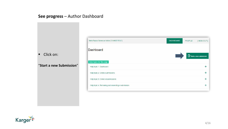## **See progress** – Author Dashboard

■ Click on:

"**Start a new Submission**"

| Marta Raposo Barrero as Author [ CHANGE ROLE ]                                          | <b>DASHBOARD</b> | <b>PROFILE</b> | [SIGN OUT]             |
|-----------------------------------------------------------------------------------------|------------------|----------------|------------------------|
| <b>Dashboard</b>                                                                        |                  |                | Start a new submission |
| Help topics for this page<br>Help topic 1: Dashboard                                    |                  |                | ╇                      |
| Help topic 2: Online submissions                                                        |                  |                | ÷.                     |
| Help topic 3: Online resubmissions<br>Help topic 4: Remaking and resending a submission |                  |                | ╇<br>╉                 |
|                                                                                         |                  |                |                        |

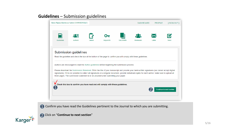## **Guidelines** – Submission guidelines







Click on "**Continue to next section**"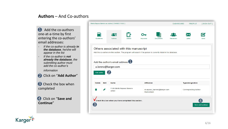## **Authors** – And Co -authors

Add the co -authors one-at-a-time by first entering the co -authors' email addresses: 4

- *If the co-author is already in the database, he/she will appear in the list*
- *If the co -author is not already the database, the submitting author must add the co -author's*

*information* 

Click on "**Add Author**"

**B** Check the box when completed 2<br>3

Click on "**Save and Continue** " 4



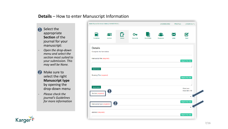## **Details** – How to enter Manuscript Information

- **1** Select the appropriate **Section** of the journal for your manuscript:
- Open the drop-down *menu and select the section most suited to your submission. This may well be None.*
- 2 Make sure to select the right **Manuscript type**  by opening the drop -down menu
- *Please check the journal's Guidelines for more information*

|                                           | Marta Raposo Barrero as Author [ CHANGE ROLE ] |                |                |                  | <b>DASHBOARD</b> | <b>PROFILE</b> | [SIGN OUT]                      |
|-------------------------------------------|------------------------------------------------|----------------|----------------|------------------|------------------|----------------|---------------------------------|
| Guidelines                                | 谷<br>Authors                                   | <b>Details</b> | Οπ<br>Keywords | <b>Documents</b> | <b>Reviewers</b> | Letter         | M<br>Send                       |
| <b>Details</b><br>Complete the form below |                                                |                |                |                  |                  |                |                                 |
| Manuscript title (required)               |                                                |                |                |                  |                  |                | <b>Help for this field</b>      |
| Special character                         |                                                |                |                |                  |                  |                |                                 |
| Running Title (required)                  |                                                |                |                |                  |                  |                | <b>Help for this field</b>      |
| Special character<br>Section (required)   | 1                                              |                |                |                  |                  |                | Word use:<br>Word limit: 50     |
| Manuscript type (required)                | $\overline{2}$                                 |                |                |                  |                  |                | <b>Help for this field</b>      |
| Abstract (required)                       |                                                |                |                |                  |                  |                | ▼<br><b>Help for this field</b> |

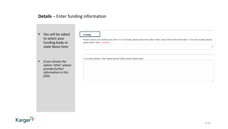## **Details** – Enter funding information

- You will be asked to select your funding body or state None here
- *If you choose the option 'other' please provide further information in this field.*

| please select 'none'. (required) |                                                                          |  |  |
|----------------------------------|--------------------------------------------------------------------------|--|--|
|                                  |                                                                          |  |  |
|                                  | If you have selected 'other' please provide further funder details below |  |  |
|                                  |                                                                          |  |  |
|                                  |                                                                          |  |  |
|                                  |                                                                          |  |  |
|                                  |                                                                          |  |  |

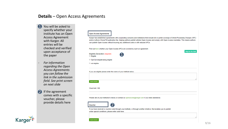## **Details** – Open Access Agreements

- You will be asked to specify whether your institute has an Open Access Agreement with Karger. All entries will be checked and verified upon acceptance of the paper  $\overline{\mathbf{1}}$
- *For information regarding the Open Access Agreements you can follow the link in the submission field. See print screen on next slide*
- If the agreement comes with a specific voucher, please provide details here 2

| Karger has established agreements with cooperating consortia and institutions that include full or partial coverage of Article Processing Charges (APC)<br>and/or Authors ChoiceTM publication fee, helping authors publish articles Open Access and comply with Open Access mandates. This means authors<br>can publish Open Access without incurring any additional costs or with reduced APCs.<br>Find out here whether your Open Access APCs are covered by such an agreement.<br><b>Help for this field</b><br>If you are eligible please enter the name of your Institute below.<br><b>Special character</b><br>Please ask at your institution's library or contact us openaccess@karger.com if you need assistance.<br>If you have received a voucher code through your institute, or through another initiative, that enables you to publish<br>under special conditions, please enter code here: | <b>Open Access Agreements</b>                                 |  |
|-----------------------------------------------------------------------------------------------------------------------------------------------------------------------------------------------------------------------------------------------------------------------------------------------------------------------------------------------------------------------------------------------------------------------------------------------------------------------------------------------------------------------------------------------------------------------------------------------------------------------------------------------------------------------------------------------------------------------------------------------------------------------------------------------------------------------------------------------------------------------------------------------------------|---------------------------------------------------------------|--|
|                                                                                                                                                                                                                                                                                                                                                                                                                                                                                                                                                                                                                                                                                                                                                                                                                                                                                                           |                                                               |  |
|                                                                                                                                                                                                                                                                                                                                                                                                                                                                                                                                                                                                                                                                                                                                                                                                                                                                                                           |                                                               |  |
|                                                                                                                                                                                                                                                                                                                                                                                                                                                                                                                                                                                                                                                                                                                                                                                                                                                                                                           | <b>Eligibility Declaration (required)</b><br>$\circ$ Eligible |  |
|                                                                                                                                                                                                                                                                                                                                                                                                                                                                                                                                                                                                                                                                                                                                                                                                                                                                                                           | O Opt-Out despite being eligible                              |  |
|                                                                                                                                                                                                                                                                                                                                                                                                                                                                                                                                                                                                                                                                                                                                                                                                                                                                                                           | $\circ$ not eligible                                          |  |
|                                                                                                                                                                                                                                                                                                                                                                                                                                                                                                                                                                                                                                                                                                                                                                                                                                                                                                           | Word limit: 100                                               |  |
|                                                                                                                                                                                                                                                                                                                                                                                                                                                                                                                                                                                                                                                                                                                                                                                                                                                                                                           |                                                               |  |
|                                                                                                                                                                                                                                                                                                                                                                                                                                                                                                                                                                                                                                                                                                                                                                                                                                                                                                           | <b>Voucher</b>                                                |  |
|                                                                                                                                                                                                                                                                                                                                                                                                                                                                                                                                                                                                                                                                                                                                                                                                                                                                                                           |                                                               |  |
|                                                                                                                                                                                                                                                                                                                                                                                                                                                                                                                                                                                                                                                                                                                                                                                                                                                                                                           |                                                               |  |
|                                                                                                                                                                                                                                                                                                                                                                                                                                                                                                                                                                                                                                                                                                                                                                                                                                                                                                           | <b>Special character</b>                                      |  |

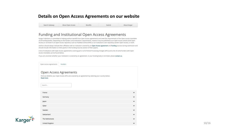#### **Details on Open Access Agreements on our website**

Benefits

Search Gateway

About Open Access

Submit

About Karger

#### Funding and Institutional Open Access Agreements

Karger Publishers is committed to helping authors benefit from Open Access agreements and meet the requirements of the Open Access mandates of all funding bodies. Depending on the funders' and institutions' requirements, research may be published as an Open Access article (Gold Open Access) or archived in an Open Access repository such as PubMed Central (PMC) or an institution's own repository (Green Open Access), or both.

Authors should always indicate their affiliation with an institution covered by an Open Access agreement and funding sources during submission and should include information on their grants in the Funding Sources section of their papers.

A list of institutions with Open Access agreements covering part or all of Article Processing Charges (APCs) and a list of some funders with Open Access mandates can be found below.

If you are uncertain whether your institution is covered by an agreement, or your funding body is not listed, please contact us.

Open Access Agreements Funders

#### Open Access Agreements

Find out whether your Open Access APCs are covered by an agreement by selecting your country below. Read more

Search...

**Karger** 

| France          | $\check{ }$  |
|-----------------|--------------|
| Germany         | $\check{~}$  |
| Japan           | $\checkmark$ |
| Qatar           | $\checkmark$ |
| Sweden          | $\check{ }$  |
| Switzerland     | $\checkmark$ |
| The Netherlands | $\checkmark$ |
| United Kingdom  | $\checkmark$ |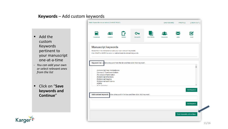## **Keywords** – Add custom keywords

- Add the custom Keywords pertinent to your manuscript one-at-a-time
- *You can add your own or select relevant ones from the list*
- Click on "**Save keywords and Continue**"



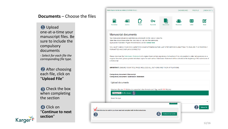## **Documents** – Choose the files

1 Upload one-at-a-time your manuscript files. Be sure to include the compulsory documents *- Select for each file the corresponding file type.*

2 After choosing each file, click on "**Upload File**"

**B** Check the box when completing the section 3<br>1<br>4<br>4

4 Click on "**Continue to next section** "

Karger

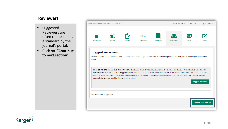## **Reviewers**

- Suggested Reviewers are often requested as a standard by the journal's portal.
- Click on "**Continue to next section** "

|                        | Marta Raposo Barrero as Author [ CHANGE ROLE ]     |         |          |                  | <b>DASHBOARD</b>                                                                                                                                                                                                                                                                                                                                                                          | <b>PROFILE</b> | [SIGN OUT]                      |
|------------------------|----------------------------------------------------|---------|----------|------------------|-------------------------------------------------------------------------------------------------------------------------------------------------------------------------------------------------------------------------------------------------------------------------------------------------------------------------------------------------------------------------------------------|----------------|---------------------------------|
|                        |                                                    |         |          |                  |                                                                                                                                                                                                                                                                                                                                                                                           |                |                                 |
|                        | Æ                                                  |         |          |                  | Æ<br><b>Reviewers</b>                                                                                                                                                                                                                                                                                                                                                                     |                |                                 |
| Guidelines             | Authors                                            | Details | Keywords | <b>Documents</b> |                                                                                                                                                                                                                                                                                                                                                                                           | I etter        | Send                            |
| below.                 | suggested reviewers must be from various countries |         |          |                  | IT IS OPTIONAL TO SUGGEST IMPARTIAL REVIEWERS WHO ARE RESEARCHERS IN THE FIELD AND HAVE THE EXPERTISE TO<br>REVIEW YOUR MANUSCRIPT. Suggested Reviewers must have a recent publication record in the area of the submission and must not be<br>from the same institution or be research collaborators of the author(s). Please suggest not more than one from your own country, all other |                | Suggest a reviewer              |
| No reviewers suggested |                                                    |         |          |                  |                                                                                                                                                                                                                                                                                                                                                                                           |                |                                 |
|                        |                                                    |         |          |                  |                                                                                                                                                                                                                                                                                                                                                                                           |                | <b>Continue to next section</b> |

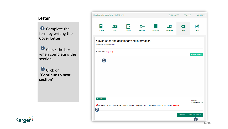### **Letter**

**Complete the** form by writing the Cover Letter

Check the box when completing the section 13 Dio 22 Her 33 2

**8** Click on "**Continue to next section** "



|                         | Marta Raposo Barrero as Author [ CHANGE ROLE ] |         |                |                  | DASHBOARD                                                                                                              | <b>PROFILE</b> | [SIGN OUT]                    |
|-------------------------|------------------------------------------------|---------|----------------|------------------|------------------------------------------------------------------------------------------------------------------------|----------------|-------------------------------|
| Guidelines              | ∦≣<br>Authors                                  | Details | Oπ<br>Keywords | <b>Documents</b> | Reviewers                                                                                                              | Letter         | Send                          |
| Complete the form below | Cover letter and accompanying information      |         |                |                  |                                                                                                                        |                |                               |
| Cover Letter (required) |                                                |         |                |                  |                                                                                                                        |                |                               |
|                         |                                                |         |                |                  |                                                                                                                        |                | <b>Help for this field</b>    |
|                         |                                                |         |                |                  |                                                                                                                        |                |                               |
|                         |                                                |         |                |                  |                                                                                                                        |                |                               |
|                         |                                                |         |                |                  |                                                                                                                        |                |                               |
| Special character       |                                                |         |                |                  | By ticking this box I declare that information given in this manuscript submission is truthful and correct. (required) |                | Word use:<br>Word limit: 1000 |
|                         |                                                |         |                |                  |                                                                                                                        | Save draft     | Save and continue             |
|                         |                                                |         |                |                  |                                                                                                                        |                | 3                             |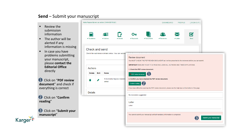## **Send** – Submit your manuscript

- Review the submission information
- The author will be alerted if any information is missing
- In case you have problems submitting your manuscript, please **contact the Editorial Office**  directly

**1** Click on "PDF review **document**" and check if everything is correct

2 Click on "Confirm **reading** "

Karger =



|                            |      | Marta Raposo Barrero as Author [ CHANGE ROLE ] |                                                    |                            |                                                      | <b>DASHBOARD</b>                                                                                               | <b>PROFILE</b>                    | [SIGN OUT]                  |  |
|----------------------------|------|------------------------------------------------|----------------------------------------------------|----------------------------|------------------------------------------------------|----------------------------------------------------------------------------------------------------------------|-----------------------------------|-----------------------------|--|
| $\triangleleft$ Guidelines |      | ₽≡<br>✔ Authors                                | ✔ Details                                          | ✔ Keywords                 | Documents                                            | ✔ Reviewers                                                                                                    | ᢂ<br>$\blacktriangleright$ Letter | М<br>Send                   |  |
| Check and send             |      |                                                |                                                    |                            |                                                      |                                                                                                                |                                   |                             |  |
|                            |      |                                                | Check the submission details below. You can submit | <b>Review document</b>     |                                                      |                                                                                                                |                                   |                             |  |
|                            |      |                                                |                                                    |                            |                                                      | You MUST CHECK THE PDF REVIEW DOCUMENT as it will be presented to the reviewers before you can submit.         |                                   |                             |  |
| Authors                    |      |                                                |                                                    |                            |                                                      | <b>IMPORTANT:</b> ENSURE YOUR TITLE PAGE INCLUDES ALL AUTHORS AND THEIR AFFILIATIONS.                          |                                   |                             |  |
|                            |      |                                                |                                                    |                            | 1. Check the PDF review document.                    |                                                                                                                |                                   |                             |  |
| <b>Delete</b>              | Edit | <b>Name</b>                                    |                                                    | $\Box$ PDF review document |                                                      |                                                                                                                |                                   |                             |  |
|                            |      | contact                                        | 1 Ms Marta Raposo Barrero                          |                            | 2. Confirm you have checked the PDF review document. |                                                                                                                |                                   |                             |  |
|                            |      |                                                |                                                    | <b>Confirm reading</b>     |                                                      |                                                                                                                |                                   |                             |  |
|                            |      |                                                |                                                    |                            |                                                      | If you have difficulties opening the PDF review document, please see the help topic at the bottom of the page. |                                   |                             |  |
| <b>Details</b>             |      |                                                |                                                    | No reviewers suggested     |                                                      |                                                                                                                |                                   |                             |  |
|                            |      |                                                |                                                    | Letter                     |                                                      |                                                                                                                |                                   |                             |  |
|                            |      |                                                |                                                    | Letter:                    |                                                      |                                                                                                                |                                   |                             |  |
|                            |      |                                                |                                                    |                            |                                                      |                                                                                                                |                                   |                             |  |
|                            |      |                                                |                                                    |                            |                                                      | You cannot submit your manuscript until all mandatory information is completed.                                |                                   |                             |  |
|                            |      |                                                |                                                    |                            |                                                      |                                                                                                                |                                   | Submit your manuscript<br>3 |  |